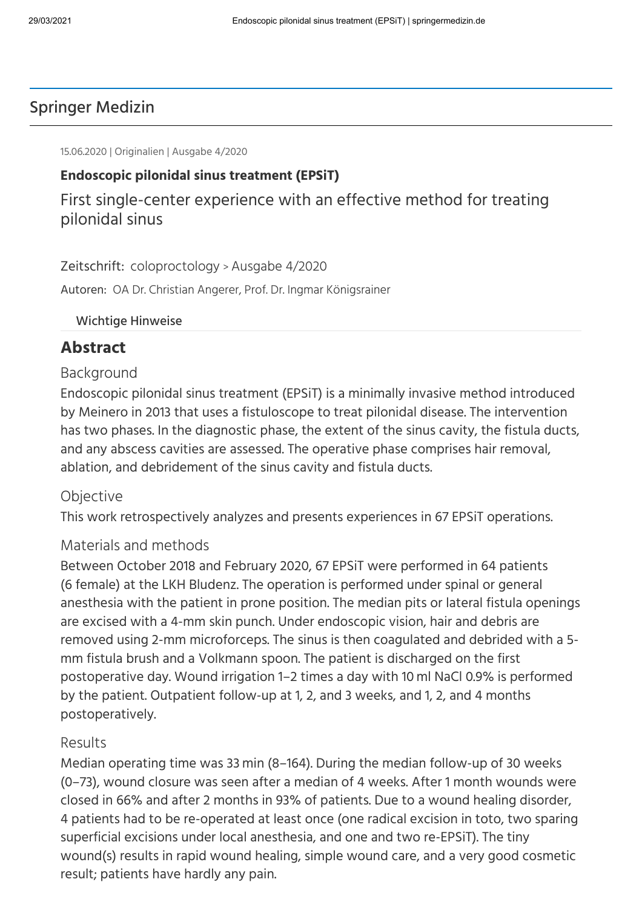# Springer Medizin

15.06.2020 | Originalien | Ausgabe 4/2020

### **Endoscopic pilonidal sinus treatment (EPSiT)**

First single-center experience with an effective method for treating pilonidal sinus

Zeitschrift: [coloproctology](https://www.springermedizin.de/coloproctology/7925988) > [Ausgabe 4/2020](https://www.springermedizin.de/coloproctology-4-2020/18254020)

Autoren: OA Dr. Christian Angerer, Prof. Dr. Ingmar Königsrainer

#### Wichtige Hinweise

### **Abstract**

#### Background

Endoscopic pilonidal sinus treatment (EPSiT) is a minimally invasive method introduced by Meinero in 2013 that uses a fistuloscope to treat pilonidal disease. The intervention has two phases. In the diagnostic phase, the extent of the sinus cavity, the fistula ducts, and any abscess cavities are assessed. The operative phase comprises hair removal, ablation, and debridement of the sinus cavity and fistula ducts.

#### **Objective**

This work retrospectively analyzes and presents experiences in 67 EPSiT operations.

#### Materials and methods

Between October 2018 and February 2020, 67 EPSiT were performed in 64 patients (6 female) at the LKH Bludenz. The operation is performed under spinal or general anesthesia with the patient in prone position. The median pits or lateral fistula openings are excised with a 4-mm skin punch. Under endoscopic vision, hair and debris are removed using 2‑mm microforceps. The sinus is then coagulated and debrided with a 5 mm fistula brush and a Volkmann spoon. The patient is discharged on the first postoperative day. Wound irrigation 1–2 times a day with 10 ml NaCl 0.9% is performed by the patient. Outpatient follow-up at 1, 2, and 3 weeks, and 1, 2, and 4 months postoperatively.

#### Results

Median operating time was 33 min (8–164). During the median follow-up of 30 weeks (0–73), wound closure was seen after a median of 4 weeks. After 1 month wounds were closed in 66% and after 2 months in 93% of patients. Due to a wound healing disorder, 4 patients had to be re-operated at least once (one radical excision in toto, two sparing superficial excisions under local anesthesia, and one and two re-EPSiT). The tiny wound(s) results in rapid wound healing, simple wound care, and a very good cosmetic result; patients have hardly any pain.